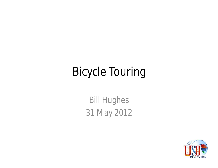# Bicycle Touring

Bill Hughes 31 May 2012

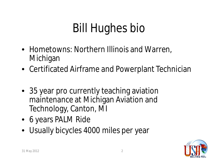# Bill Hughes bio

- Hometowns: Northern Illinois and Warren, Michigan
- Certificated Airframe and Powerplant Technician
- 35 year pro currently teaching aviation maintenance at Michigan Aviation and Technology, Canton, MI
- 6 years PALM Ride
- Usually bicycles 4000 miles per year

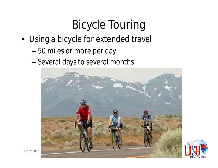# Bicycle Touring

- Using a bicycle for extended travel
	- 50 miles or more per day
	- Several days to several months



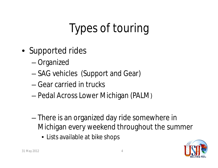# Types of touring

- Supported rides
	- Organized
	- SAG vehicles (Support and Gear)
	- Gear carried in trucks
	- Pedal Across Lower Michigan (PALM)
	- There is an organized day ride somewhere in Michigan every weekend throughout the summer
		- Lists available at bike shops

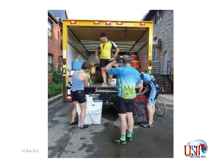

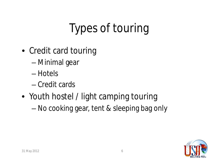# Types of touring

- Credit card touring
	- Minimal gear
	- Hotels
	- Credit cards
- Youth hostel / light camping touring
	- No cooking gear, tent & sleeping bag only

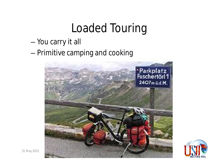# Loaded Touring

- You carry it all
- Primitive camping and cooking



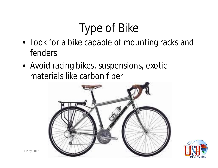# Type of Bike

- Look for a bike capable of mounting racks and fenders
- Avoid racing bikes, suspensions, exotic materials like carbon fiber



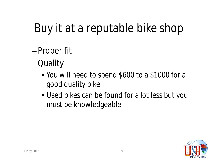# Buy it at a reputable bike shop

- Proper fit
- –Quality
	- You will need to spend \$600 to a \$1000 for a good quality bike
	- Used bikes can be found for a lot less but you must be knowledgeable

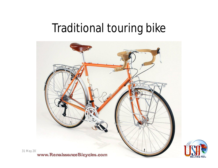#### Traditional touring bike



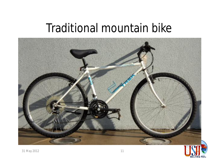#### Traditional mountain bike

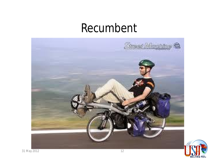#### Recumbent



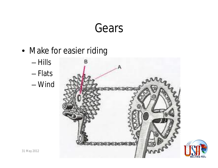#### Gears

- Make for easier riding
	- Hills
	- Flats
	- Wind



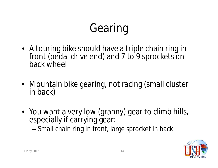# Gearing

- A touring bike should have a triple chain ring in front (pedal drive end) and 7 to 9 sprockets on back wheel
- Mountain bike gearing, not racing (small cluster in back)
- You want a very low (granny) gear to climb hills, especially if carrying gear:
	- Small chain ring in front, large sprocket in back

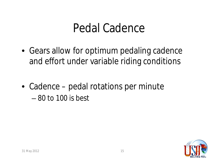#### Pedal Cadence

- Gears allow for optimum pedaling cadence and effort under variable riding conditions
- Cadence pedal rotations per minute – 80 to 100 is best

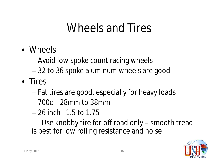## Wheels and Tires

- Wheels
	- Avoid low spoke count racing wheels
	- 32 to 36 spoke aluminum wheels are good
- Tires
	- Fat tires are good, especially for heavy loads
	- 700c 28mm to 38mm
	- 26 inch 1.5 to 1.75

Use knobby tire for off road only – smooth tread is best for low rolling resistance and noise

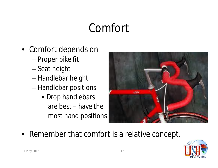## Comfort

- Comfort depends on
	- Proper bike fit
	- Seat height
	- Handlebar height
	- Handlebar positions
		- Drop handlebars are best – have the most hand positions



• Remember that comfort is a relative concept.

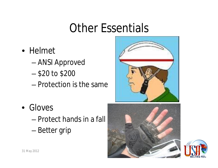### Other Essentials

- Helmet
	- ANSI Approved
	- \$20 to \$200
	- Protection is the same



- Gloves
	- Protect hands in a fall
	- Better grip



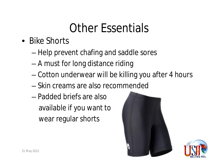# Other Essentials

- Bike Shorts
	- Help prevent chafing and saddle sores
	- A must for long distance riding
	- Cotton underwear will be killing you after 4 hours
	- Skin creams are also recommended
	- Padded briefs are also available if you want to wear regular shorts



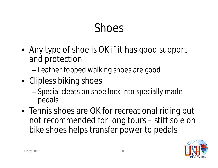## Shoes

- Any type of shoe is OK if it has good support and protection
	- Leather topped walking shoes are good
- Clipless biking shoes
	- Special cleats on shoe lock into specially made pedals
- Tennis shoes are OK for recreational riding but not recommended for long tours – stiff sole on bike shoes helps transfer power to pedals

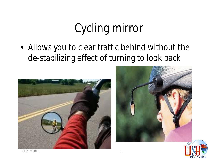# Cycling mirror

• Allows you to clear traffic behind without the de-stabilizing effect of turning to look back





31 May 2012 21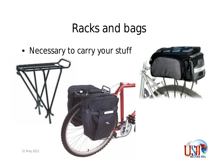#### Racks and bags

#### • Necessary to carry your stuff





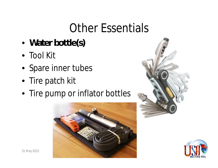## Other Essentials

- **Water bottle(s)**
- Tool Kit
- Spare inner tubes
- Tire patch kit
- Tire pump or inflator bottles





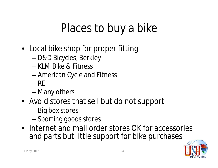## Places to buy a bike

- Local bike shop for proper fitting
	- D&D Bicycles, Berkley
	- KLM Bike & Fitness
	- American Cycle and Fitness
	- REI
	- Many others
- Avoid stores that sell but do not support
	- Big box stores
	- Sporting goods stores
- Internet and mail order stores OK for accessories and parts but little support for bike purchases

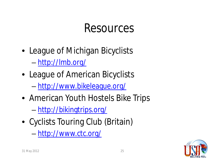#### Resources

- League of Michigan Bicyclists – http://lmb.org/
- League of American Bicyclists
	- http://www.bikeleague.org/
- American Youth Hostels Bike Trips
	- http://bikingtrips.org/
- Cyclists Touring Club (Britain)

– http://www.ctc.org/

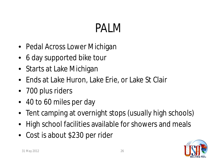# PALM

- Pedal Across Lower Michigan
- 6 day supported bike tour
- Starts at Lake Michigan
- Ends at Lake Huron, Lake Erie, or Lake St Clair
- 700 plus riders
- 40 to 60 miles per day
- Tent camping at overnight stops (usually high schools)
- High school facilities available for showers and meals
- Cost is about \$230 per rider

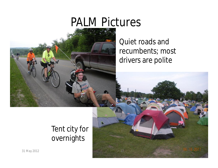### PALM Pictures



Quiet roads and recumbents; most drivers are polite

06 18 2011

#### Tent city for overnights

31 May 2012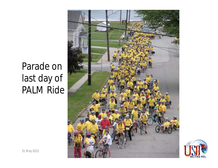#### Parade on last day of PALM Ride